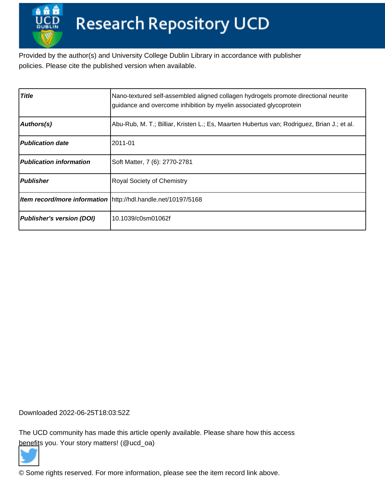Provided by the author(s) and University College Dublin Library in accordance with publisher policies. Please cite the published version when available.

| <b>Title</b>                     | Nano-textured self-assembled aligned collagen hydrogels promote directional neurite<br>guidance and overcome inhibition by myelin associated glycoprotein |
|----------------------------------|-----------------------------------------------------------------------------------------------------------------------------------------------------------|
| Authors(s)                       | Abu-Rub, M. T.; Billiar, Kristen L.; Es, Maarten Hubertus van; Rodriguez, Brian J.; et al.                                                                |
| <b>Publication date</b>          | 2011-01                                                                                                                                                   |
| <b>Publication information</b>   | Soft Matter, 7 (6): 2770-2781                                                                                                                             |
| <b>Publisher</b>                 | <b>Royal Society of Chemistry</b>                                                                                                                         |
|                                  | Item record/more information http://hdl.handle.net/10197/5168                                                                                             |
| <b>Publisher's version (DOI)</b> | 10.1039/c0sm01062f                                                                                                                                        |

Downloaded 2022-06-25T18:03:52Z

The UCD community has made this article openly available. Please share how this access [benefit](https://twitter.com/intent/tweet?via=ucd_oa&text=DOI%3A10.1039%2Fc0sm01062f&url=http%3A%2F%2Fhdl.handle.net%2F10197%2F5168)s you. Your story matters! (@ucd\_oa)



© Some rights reserved. For more information, please see the item record link above.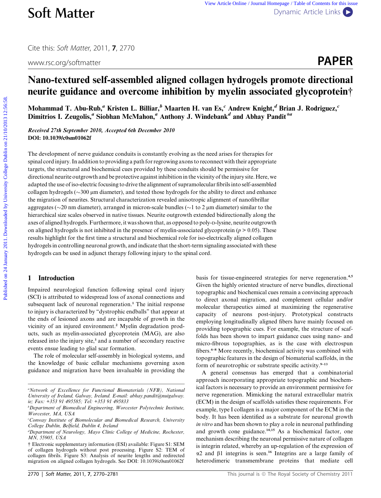www.rsc.org/softmatter **PAPER** 

# Nano-textured self-assembled aligned collagen hydrogels promote directional neurite guidance and overcome inhibition by myelin associated glycoprotein†

Mohammad T. Abu-Rub,<sup>a</sup> Kristen L. Billiar,<sup>b</sup> Maarten H. van Es,<sup>c</sup> Andrew Knight,<sup>d</sup> Brian J. Rodriguez,<sup>c</sup> Dimitrios I. Zeugolis,<sup>*a*</sup> Siobhan McMahon,<sup>*a*</sup> Anthony J. Windebank<sup>*d*</sup> and Abhay Pandit<sup>\**a*</sup>

Received 27th September 2010, Accepted 6th December 2010 DOI: 10.1039/c0sm01062f

The development of nerve guidance conduits is constantly evolving as the need arises for therapies for spinal cord injury. In addition to providing a path for regrowing axons to reconnect with their appropriate targets, the structural and biochemical cues provided by these conduits should be permissive for directional neurite outgrowth and be protective against inhibition in the vicinity of the injury site. Here, we adapted the use of iso-electric focusing to drive the alignment of supramolecular fibrils into self-assembled collagen hydrogels ( $\sim$ 300  $\mu$ m diameter), and tested those hydrogels for the ability to direct and enhance the migration of neurites. Structural characterization revealed anisotropic alignment of nanofibrillar aggregates ( $\sim$ 20 nm diameter), arranged in micron-scale bundles ( $\sim$ 1 to 2 µm diameter) similar to the hierarchical size scales observed in native tissues. Neurite outgrowth extended bidirectionally along the axes of aligned hydrogels. Furthermore, it was shown that, as opposed to poly-p-lysine, neurite outgrowth on aligned hydrogels is not inhibited in the presence of myelin-associated glycoprotein ( $p > 0.05$ ). These results highlight for the first time a structural and biochemical role for iso-electrically aligned collagen hydrogels in controlling neuronal growth, and indicate that the short-term signaling associated with these hydrogels can be used in adjunct therapy following injury to the spinal cord. **Soft Matter** verse Anisotenies / January Department Dynamics (The This is the College Dublin on 21/2013) and the College Dublin on 21/2013 12:56:58. [View Article Online](http://dx.doi.org/10.1039/C0SM01062F) College Dublin on 21/10. The College Dublin on 21/1

# 1 Introduction

Impaired neurological function following spinal cord injury (SCI) is attributed to widespread loss of axonal connections and subsequent lack of neuronal regeneration.<sup>1</sup> The initial response to injury is characterized by ''dystrophic endballs'' that appear at the ends of lesioned axons and are incapable of growth in the vicinity of an injured environment.<sup>2</sup> Myelin degradation products, such as myelin-associated glycoprotein (MAG), are also released into the injury site,<sup>3</sup> and a number of secondary reactive events ensue leading to glial scar formation.

The role of molecular self-assembly in biological systems, and the knowledge of basic cellular mechanisms governing axon guidance and migration have been invaluable in providing the

basis for tissue-engineered strategies for nerve regeneration.<sup>4,5</sup> Given the highly oriented structure of nerve bundles, directional topographic and biochemical cues remain a convincing approach to direct axonal migration, and complement cellular and/or molecular therapeutics aimed at maximizing the regenerative capacity of neurons post-injury. Prototypical constructs employing longitudinally aligned fibers have mainly focused on providing topographic cues. For example, the structure of scaffolds has been shown to impart guidance cues using nano- and micro-fibrous topographies, as is the case with electrospun fibers.<sup>6–8</sup> More recently, biochemical activity was combined with topographic features in the design of biomaterial scaffolds, in the form of neurotrophic or substrate specific activity. $9-13$ 

A general consensus has emerged that a combinatorial approach incorporating appropriate topographic and biochemical factors is necessary to provide an environment permissive for nerve regeneration. Mimicking the natural extracellular matrix (ECM) in the design of scaffolds satisfies these requirements. For example, type I collagen is a major component of the ECM in the body. It has been identified as a substrate for neuronal growth in vitro and has been shown to play a role in neuronal pathfinding and growth cone guidance.<sup>14,15</sup> As a biochemical factor, one mechanism describing the neuronal permissive nature of collagen is integrin related, whereby an up-regulation of the expression of  $\alpha$ 2 and  $\beta$ 1 integrins is seen.<sup>16</sup> Integrins are a large family of heterodimeric transmembrane proteins that mediate cell

<sup>&</sup>lt;sup>a</sup>Network of Excellence for Functional Biomaterials (NFB), National University of Ireland, Galway, Ireland. E-mail: abhay.pandit@nuigalway. ie; Fax: +353 91 495585; Tel: +353 91 495833

b Department of Biomedical Engineering, Worcester Polytechnic Institute, Worcester, MA, USA

<sup>&</sup>lt;sup>c</sup>Conway Institute of Biomolecular and Biomedical Research, University College Dublin, Belfield, Dublin 4, Ireland

<sup>&</sup>lt;sup>d</sup>Department of Neurology, Mayo Clinic College of Medicine, Rochester, MN, 55905, USA

<sup>†</sup> Electronic supplementary information (ESI) available: Figure S1: SEM of collagen hydrogels without post processing. Figure S2: TEM of collagen fibrils. Figure S3: Analysis of neurite lengths and redirected migration on aligned collagen hydrogels. See DOI: 10.1039/c0sm01062f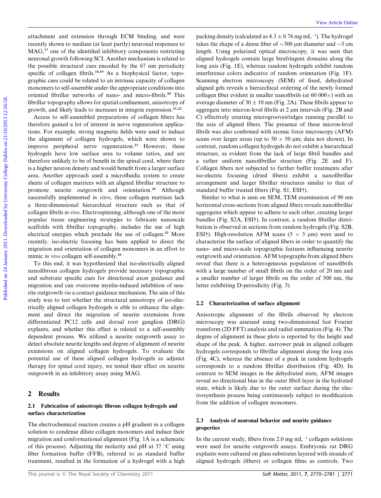attachment and extension through ECM binding, and were recently shown to mediate (at least partly) neuronal responses to MAG,<sup>17</sup> one of the identified inhibitory components restricting neuronal growth following SCI. Another mechanism is related to the possible structural cues encoded by the 67 nm periodicity specific of collagen fibrils.<sup>18,19</sup> As a biophysical factor, topographic cues could be related to an intrinsic capacity of collagen monomers to self-assemble under the appropriate conditions into oriented fibrillar networks of nano- and micro-fibrils.<sup>20</sup> This fibrillar topography allows for spatial confinement, anisotropy of growth, and likely leads to increases in integrin expression.<sup>21,22</sup>

Access to self-assembled preparations of collagen fibers has therefore gained a lot of interest in nerve regeneration applications. For example, strong magnetic fields were used to induce the alignment of collagen hydrogels, which were shown to improve peripheral nerve regeneration.<sup>23</sup> However, these hydrogels have low surface area to volume ratios, and are therefore unlikely to be of benefit in the spinal cord, where there is a higher neuron density and would benefit from a larger surface area. Another approach used a microfluidic system to create sheets of collagen matrices with an aligned fibrillar structure to promote neurite outgrowth and orientation.<sup>24</sup> Although successfully implemented in vitro, these collagen matrices lack a three-dimensional hierarchical structure such as that of collagen fibrils in vivo. Electrospinning, although one of the more popular tissue engineering strategies to fabricate nanoscale scaffolds with fibrillar topography, includes the use of high electrical energies which preclude the use of collagen.<sup>25</sup> More recently, iso-electric focusing has been applied to direct the migration and orientation of collagen monomers in an effort to mimic in vivo collagen self-assembly.<sup>26</sup>

To this end, it was hypothesized that iso-electrically aligned nanofibrous collagen hydrogels provide necessary topographic and substrate specific cues for directional axon guidance and migration and can overcome myelin-induced inhibition of neurite outgrowth via a contact guidance mechanism. The aim of this study was to test whether the structural anisotropy of iso-electrically aligned collagen hydrogels is able to enhance the alignment and direct the migration of neurite extensions from differentiated PC12 cells and dorsal root ganglion (DRG) explants, and whether this effect is related to a self-assembly dependent process. We utilized a neurite outgrowth assay to detect absolute neurite lengths and degree of alignment of neurite extensions on aligned collagen hydrogels. To evaluate the potential use of these aligned collagen hydrogels as adjunct therapy for spinal cord injury, we tested their effect on neurite outgrowth in an inhibitory assay using MAG.

# 2 Results

# 2.1 Fabrication of anisotropic fibrous collagen hydrogels and surface characterization

The electrochemical reaction creates a pH gradient in a collagen solution to condense dilute collagen monomers and induce their migration and conformational alignment (Fig. 1A is a schematic of this process). Adjusting the molarity and pH at  $37^{\circ}$ C using fiber formation buffer (FFB), referred to as standard buffer treatment, resulted in the formation of a hydrogel with a high

packing density (calculated as  $4.3 \pm 0.76$  mg mL<sup>-1</sup>). The hydrogel takes the shape of a dense fiber of  $\sim$ 300 µm diameter and  $\sim$ 5 cm length. Using polarized optical microscopy, it was seen that aligned hydrogels contain large birefringent domains along the long axis (Fig. 1E), whereas random hydrogels exhibit random interference colors indicative of random orientation (Fig. 1F). Scanning electron microscopy (SEM) of fixed, dehydrated aligned gels reveals a hierarchical ordering of the newly formed collagen fiber evident in smaller nanofibrils (at  $60\,000\times$ ) with an average diameter of  $30 \pm 10$  nm (Fig. 2A). These fibrils appear to aggregate into micron-level fibrils at 2  $\mu$ m intervals (Fig. 2B and C) effectively creating microgrooves/ridges running parallel to the axis of aligned fibers. The presence of these micron-level fibrils was also confirmed with atomic force microscopy (AFM) scans over larger areas (up to  $50 \times 50$  µm; data not shown). In contrast, random collagen hydrogels do not exhibit a hierarchical structure, as evident from the lack of large fibril bundles and a rather uniform nanofibrillar structure (Fig. 2E and F). Collagen fibers not subjected to further buffer treatments after iso-electric focusing (dried fibers) exhibit a nanofibrillar arrangement and larger fibrillar structures similar to that of standard buffer treated fibers (Fig. S1, ESI†). artichement and extension through ECM Sindlint, and were packing density (silculated at 4.3±0.76 m m<sup>11</sup>.) The hodge of mini-<br>
MAG;<sup>3</sup> one of the identified bushing concernent must be the selling of the selling on the sel

Similar to what is seen on SEM, TEM examination of 90 nm horizontal cross-sections from aligned fibers reveals nanofibrillar aggregates which appear to adhere to each other, creating larger bundles (Fig. S2A, ESI†). In contrast, a random fibrillar distribution is observed in sections from random hydrogels (Fig. S2B, ESI†). High-resolution AFM scans ( $5 \times 5 \mu m$ ) were used to characterize the surface of aligned fibers in order to quantify the nano- and micro-scale topographic features influencing neurite outgrowth and orientation. AFM topographs from aligned fibers reveal that there is a heterogeneous population of nanofibrils with a large number of small fibrils on the order of 20 nm and a smaller number of larger fibrils on the order of 500 nm, the latter exhibiting D-periodicity (Fig. 3).

### 2.2 Characterization of surface alignment

Anisotropic alignment of the fibrils observed by electron microscopy was assessed using two-dimensional fast Fourier transform (2D FFT) analysis and radial summation (Fig. 4). The degree of alignment in these plots is reported by the height and shape of the peak. A higher, narrower peak in aligned collagen hydrogels corresponds to fibrillar alignment along the long axis (Fig. 4C), whereas the absence of a peak in random hydrogels corresponds to a random fibrillar distribution (Fig. 4D). In contrast to SEM images in the dehydrated state, AFM images reveal no directional bias in the outer fibril layer in the hydrated state, which is likely due to the outer surface during the electrosynthesis process being continuously subject to modification from the addition of collagen monomers.

# 2.3 Analysis of neuronal behavior and neurite guidance properties

In the current study, fibers from 2.0 mg  $mL^{-1}$  collagen solutions were used for neurite outgrowth assays. Embryonic rat DRG explants were cultured on glass substrates layered with strands of aligned hydrogels (fibers) or collagen films as controls. Two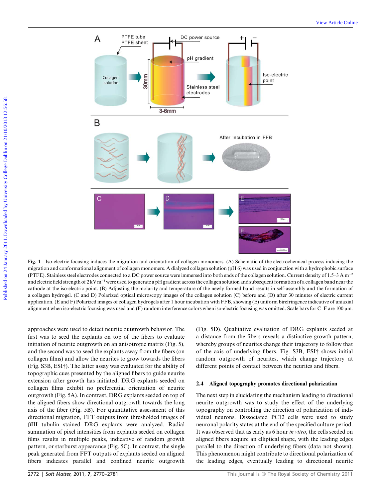

Fig. 1 Iso-electric focusing induces the migration and orientation of collagen monomers. (A) Schematic of the electrochemical process inducing the migration and conformational alignment of collagen monomers. A dialyzed collagen solution (pH 6) was used in conjunction with a hydrophobic surface (PTFE). Stainless steel electrodes connected to a DC power source were immersed into both ends of the collagen solution. Current density of 1.5–3 A m<sup>-2</sup> and electric field strength of  $2 \text{kV m}^{-1}$  were used to generate a pH gradient across the collagen solution and subsequent formation of a collagen band near the cathode at the iso-electric point. (B) Adjusting the molarity and temperature of the newly formed band results in self-assembly and the formation of a collagen hydrogel. (C and D) Polarized optical microscopy images of the collagen solution (C) before and (D) after 30 minutes of electric current application. (E and F) Polarized images of collagen hydrogels after 1 hour incubation with FFB, showing (E) uniform birefringence indicative of uniaxial alignment when iso-electric focusing was used and (F) random interference colors when iso-electric focusing was omitted. Scale bars for C–F are 100 µm.

approaches were used to detect neurite outgrowth behavior. The first was to seed the explants on top of the fibers to evaluate initiation of neurite outgrowth on an anisotropic matrix (Fig. 5), and the second was to seed the explants away from the fibers (on collagen films) and allow the neurites to grow towards the fibers (Fig. S3B, ESI†). The latter assay was evaluated for the ability of topographic cues presented by the aligned fibers to guide neurite extension after growth has initiated. DRG explants seeded on collagen films exhibit no preferential orientation of neurite outgrowth (Fig. 5A). In contrast, DRG explants seeded on top of the aligned fibers show directional outgrowth towards the long axis of the fiber (Fig. 5B). For quantitative assessment of this directional migration, FFT outputs from thresholded images of bIII tubulin stained DRG explants were analyzed. Radial summation of pixel intensities from explants seeded on collagen films results in multiple peaks, indicative of random growth pattern, or starburst appearance (Fig. 5C). In contrast, the single peak generated from FFT outputs of explants seeded on aligned fibers indicates parallel and confined neurite outgrowth

(Fig. 5D). Qualitative evaluation of DRG explants seeded at a distance from the fibers reveals a distinctive growth pattern, whereby groups of neurites change their trajectory to follow that of the axis of underlying fibers. Fig. S3B, ESI† shows initial random outgrowth of neurites, which change trajectory at different points of contact between the neurites and fibers.

#### 2.4 Aligned topography promotes directional polarization

The next step in elucidating the mechanism leading to directional neurite outgrowth was to study the effect of the underlying topography on controlling the direction of polarization of individual neurons. Dissociated PC12 cells were used to study neuronal polarity states at the end of the specified culture period. It was observed that as early as 6 hour in vitro, the cells seeded on aligned fibers acquire an elliptical shape, with the leading edges parallel to the direction of underlying fibers (data not shown). This phenomenon might contribute to directional polarization of the leading edges, eventually leading to directional neurite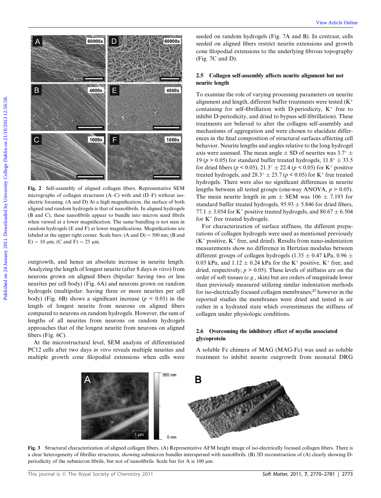

Fig. 2 Self-assembly of aligned collagen fibers. Representative SEM micrographs of collagen structures (A–C) with and (D–F) without isoelectric focusing. (A and D) At a high magnification, the surface of both aligned and random hydrogels is that of nanofibrils. In aligned hydrogels (B and C), these nanofibrils appear to bundle into micron sized fibrils when viewed at a lower magnification. The same bundling is not seen in random hydrogels (E and F) at lower magnifications. Magnifications are labeled at the upper right corner. Scale bars:  $(A \text{ and } D) = 500 \text{ nm}$ ;  $(B \text{ and } D) = 500 \text{ nm}$ E) = 10  $\mu$ m; (C and F) = 25  $\mu$ m.

outgrowth, and hence an absolute increase in neurite length. Analyzing the length of longest neurite (after 8 days in vitro) from neurons grown on aligned fibers (bipolar: having two or less neurites per cell body) (Fig. 6A) and neurons grown on random hydrogels (multipolar: having three or more neurites per cell body) (Fig. 6B) shows a significant increase ( $p < 0.01$ ) in the length of longest neurite from neurons on aligned fibers compared to neurons on random hydrogels. However, the sum of lengths of all neurites from neurons on random hydrogels approaches that of the longest neurite from neurons on aligned fibers (Fig. 6C).

At the microstructural level, SEM analysis of differentiated PC12 cells after two days in vitro reveals multiple neurites and multiple growth cone filopodial extensions when cells were

seeded on random hydrogels (Fig. 7A and B). In contrast, cells seeded on aligned fibers restrict neurite extensions and growth cone filopodial extensions to the underlying fibrous topography (Fig. 7C and D).

# 2.5 Collagen self-assembly affects neurite alignment but not neurite length

To examine the role of varying processing parameters on neurite alignment and length, different buffer treatments were tested (K+ containing for self-fibrillation with D-periodicity,  $K^+$  free to inhibit D-periodicity, and dried to bypass self-fibrillation). These treatments are believed to alter the collagen self-assembly and mechanisms of aggregation and were chosen to elucidate differences in the final composition of structural surfaces affecting cell behavior. Neurite lengths and angles relative to the long hydrogel axis were assessed. The mean angle  $\pm$  SD of neurites was 3.7°  $\pm$ 19 ( $p > 0.05$ ) for standard buffer treated hydrogels,  $11.8^\circ \pm 33.5$ for dried fibers ( $p < 0.05$ ),  $21.3^{\circ} \pm 22.4$  ( $p < 0.05$ ) for K<sup>+</sup> positive treated hydrogels, and  $28.3^{\circ} \pm 23.7$  ( $p < 0.05$ ) for K<sup>+</sup> free treated hydrogels. There were also no significant differences in neurite lengths between all tested groups (one-way ANOVA,  $p > 0.05$ ). The mean neurite length in  $\mu$ m  $\pm$  SEM was 106  $\pm$  7.193 for standard buffer treated hydrogels,  $95.93 \pm 5.846$  for dried fibers, 77.1  $\pm$  3.054 for K<sup>+</sup> positive treated hydrogels, and 80.67  $\pm$  6.504 for  $K^+$  free treated hydrogels.

For characterization of surface stiffness, the different preparations of collagen hydrogels were used as mentioned previously  $(K^+)$  positive,  $K^+$  free, and dried). Results from nano-indentation measurements show no difference in Hertzian modulus between different groups of collagen hydrogels (1.35  $\pm$  0.47 kPa, 0.96  $\pm$ 0.03 kPa, and  $1.12 \pm 0.24$  kPa for the K<sup>+</sup> positive, K<sup>+</sup> free, and dried, respectively;  $p > 0.05$ ). These levels of stiffness are on the order of soft tissues (e.g., skin) but are orders of magnitude lower than previously measured utilizing similar indentation methods for iso-electrically focused collagen membranes;<sup>27</sup> however in the reported studies the membranes were dried and tested in air rather in a hydrated state which overestimates the stiffness of collagen under physiologic conditions.

## 2.6 Overcoming the inhibitory effect of myelin associated glycoprotein

A soluble Fc chimera of MAG (MAG-Fc) was used as soluble treatment to inhibit neurite outgrowth from neonatal DRG



Fig. 3 Structural characterization of aligned collagen fibers. (A) Representative AFM height image of iso-electrically focused collagen fibers. There is a clear heterogeneity of fibrillar structures, showing submicron bundles interspersed with nanofibrils. (B) 3D reconstruction of (A) clearly showing Dperiodicity of the submicron fibrils, but not of nanofibrils. Scale bar for A is 100  $\mu$ m.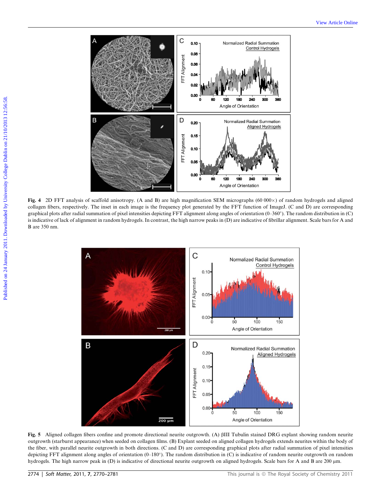

Fig. 4 2D FFT analysis of scaffold anisotropy. (A and B) are high magnification SEM micrographs (60 000 $\times$ ) of random hydrogels and aligned collagen fibers, respectively. The inset in each image is the frequency plot generated by the FFT function of ImageJ. (C and D) are corresponding graphical plots after radial summation of pixel intensities depicting FFT alignment along angles of orientation (0–360). The random distribution in (C) is indicative of lack of alignment in random hydrogels. In contrast, the high narrow peaks in (D) are indicative of fibrillar alignment. Scale bars for A and B are 350 nm.



Fig. 5 Aligned collagen fibers confine and promote directional neurite outgrowth. (A) bIII Tubulin stained DRG explant showing random neurite outgrowth (starburst appearance) when seeded on collagen films. (B) Explant seeded on aligned collagen hydrogels extends neurites within the body of the fiber, with parallel neurite outgrowth in both directions. (C and D) are corresponding graphical plots after radial summation of pixel intensities depicting FFT alignment along angles of orientation (0–180°). The random distribution in (C) is indicative of random neurite outgrowth on random hydrogels. The high narrow peak in (D) is indicative of directional neurite outgrowth on aligned hydrogels. Scale bars for A and B are 200 µm.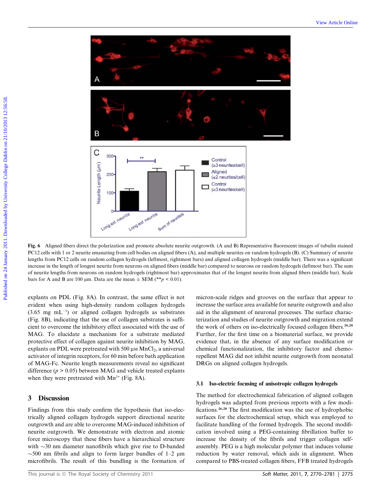

Fig. 6 Aligned fibers direct the polarization and promote absolute neurite outgrowth. (A and B) Representative fluorescent images of tubulin stained PC12 cells with 1 or 2 neurite emanating from cell bodies on aligned fibers (A), and multiple neurites on random hydrogels (B). (C) Summary of neurite lengths from PC12 cells on random collagen hydrogels (leftmost, rightmost bars) and aligned collagen hydrogels (middle bar). There was a significant increase in the length of longest neurite from neurons on aligned fibers (middle bar) compared to neurons on random hydrogels (leftmost bar). The sum of neurite lengths from neurons on random hydrogels (rightmost bar) approximates that of the longest neurite from aligned fibers (middle bar). Scale bars for A and B are 100  $\mu$ m. Data are the mean  $\pm$  SEM (\*\*p < 0.01).

explants on PDL (Fig. 8A). In contrast, the same effect is not evident when using high-density random collagen hydrogels  $(3.65 \text{ mg } \text{mL}^{-1})$  or aligned collagen hydrogels as substrates (Fig. 8B), indicating that the use of collagen substrates is sufficient to overcome the inhibitory effect associated with the use of MAG. To elucidate a mechanism for a substrate mediated protective effect of collagen against neurite inhibition by MAG, explants on PDL were pretreated with 500  $\mu$ M MnCl<sub>2</sub>, a universal activator of integrin receptors, for 60 min before bath application of MAG-Fc. Neurite length measurements reveal no significant difference ( $p > 0.05$ ) between MAG and vehicle treated explants when they were pretreated with  $Mn^{2+}$  (Fig. 8A).

# 3 Discussion

Findings from this study confirm the hypothesis that iso-electrically aligned collagen hydrogels support directional neurite outgrowth and are able to overcome MAG-induced inhibition of neurite outgrowth. We demonstrate with electron and atomic force microscopy that these fibers have a hierarchical structure with  $\sim$ 30 nm diameter nanofibrils which give rise to D-banded  $\sim$  500 nm fibrils and align to form larger bundles of 1–2  $\mu$ m microfibrils. The result of this bundling is the formation of

This journal is © The Royal Society of Chemistry 2011 Soft Matter, 2011, 7, 2770–2781 | 2775

micron-scale ridges and grooves on the surface that appear to increase the surface area available for neurite outgrowth and also aid in the alignment of neuronal processes. The surface characterization and studies of neurite outgrowth and migration extend the work of others on iso-electrically focused collagen fibers.<sup>26,28</sup> Further, for the first time on a biomaterial surface, we provide evidence that, in the absence of any surface modification or chemical functionalization, the inhibitory factor and chemorepellent MAG did not inhibit neurite outgrowth from neonatal DRGs on aligned collagen hydrogels.

#### 3.1 Iso-electric focusing of anisotropic collagen hydrogels

The method for electrochemical fabrication of aligned collagen hydrogels was adapted from previous reports with a few modifications.26,28 The first modification was the use of hydrophobic surfaces for the electrochemical setup, which was employed to facilitate handling of the formed hydrogels. The second modification involved using a PEG-containing fibrillation buffer to increase the density of the fibrils and trigger collagen selfassembly. PEG is a high molecular polymer that induces volume reduction by water removal, which aids in alignment. When compared to PBS-treated collagen fibers, FFB treated hydrogels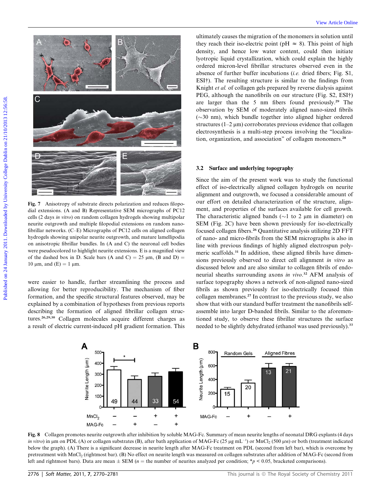

Fig. 7 Anisotropy of substrate directs polarization and reduces filopodial extensions. (A and B) Representative SEM micrographs of PC12 cells (2 days in vitro) on random collagen hydrogels showing multipolar neurite outgrowth and multiple filopodial extensions on random nanofibrillar networks. (C–E) Micrographs of PC12 cells on aligned collagen hydrogels showing unipolar neurite outgrowth, and mature lamellipodia on anisotropic fibrillar bundles. In (A and C) the neuronal cell bodies were pseudocolored to highlight neurite extensions. E is a magnified view of the dashed box in D. Scale bars (A and C) =  $25 \mu m$ , (B and D) = 10  $\mu$ m, and (E) = 1  $\mu$ m.

were easier to handle, further streamlining the process and allowing for better reproducibility. The mechanism of fiber formation, and the specific structural features observed, may be explained by a combination of hypotheses from previous reports describing the formation of aligned fibrillar collagen structures.26,29,30 Collagen molecules acquire different charges as a result of electric current-induced pH gradient formation. This

ultimately causes the migration of the monomers in solution until they reach their iso-electric point (pH  $\approx$  8). This point of high density, and hence low water content, could then initiate lyotropic liquid crystallization, which could explain the highly ordered micron-level fibrillar structures observed even in the absence of further buffer incubations (i.e. dried fibers; Fig. S1, ESI†). The resulting structure is similar to the findings from Knight *et al.* of collagen gels prepared by reverse dialysis against PEG, although the nanofibrils on our structure (Fig. S2, ESI†) are larger than the 5 nm fibers found previously.<sup>29</sup> The observation by SEM of moderately aligned nano-sized fibrils  $(\sim 30 \text{ nm})$ , which bundle together into aligned higher ordered structures ( $1-2 \mu m$ ) corroborates previous evidence that collagen electrosynthesis is a multi-step process involving the ''localization, organization, and association'' of collagen monomers.<sup>28</sup>

## 3.2 Surface and underlying topography

Since the aim of the present work was to study the functional effect of iso-electrically aligned collagen hydrogels on neurite alignment and outgrowth, we focused a considerable amount of our effort on detailed characterization of the structure, alignment, and properties of the surfaces available for cell growth. The characteristic aligned bands ( $\sim$ 1 to 2  $\mu$ m in diameter) on SEM (Fig. 2C) have been shown previously for iso-electrically focused collagen fibers.<sup>26</sup> Quantitative analysis utilizing 2D FFT of nano- and micro-fibrils from the SEM micrographs is also in line with previous findings of highly aligned electrospun polymeric scaffolds.<sup>31</sup> In addition, these aligned fibrils have dimensions previously observed to direct cell alignment in vitro as discussed below and are also similar to collagen fibrils of endoneurial sheaths surrounding axons in vivo.<sup>32</sup> AFM analysis of surface topography shows a network of non-aligned nano-sized fibrils as shown previously for iso-electrically focused thin collagen membranes.<sup>27</sup> In contrast to the previous study, we also show that with our standard buffer treatment the nanofibrils selfassemble into larger D-banded fibrils. Similar to the aforementioned study, to observe these fibrillar structures the surface needed to be slightly dehydrated (ethanol was used previously).<sup>33</sup>



Fig. 8 Collagen promotes neurite outgrowth after inhibition by soluble MAG-Fc. Summary of mean neurite lengths of neonatal DRG explants (4 days *in vitro*) in  $\mu$ m on PDL (A) or collagen substrates (B), after bath application of MAG-Fc (25  $\mu$ g mL<sup>-1</sup>) or MnCl<sub>2</sub> (500  $\mu$ m) or both (treatment indicated below the graph). (A) There is a significant decrease in neurite length after MAG-Fc treatment on PDL (second from left bar), which is overcome by pretreatment with MnCl<sub>2</sub> (rightmost bar). (B) No effect on neurite length was measured on collagen substrates after addition of MAG-Fc (second from left and rightmost bars). Data are mean  $\pm$  SEM (n = the number of neurites analyzed per condition; \*p < 0.05, bracketed comparisons).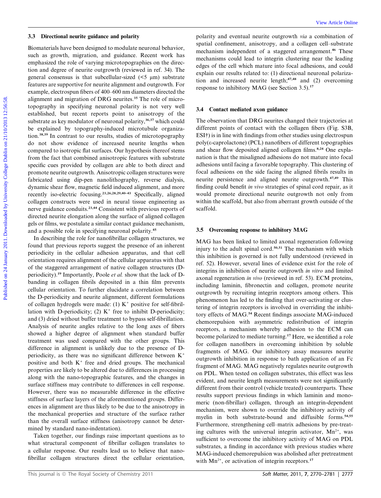#### 3.3 Directional neurite guidance and polarity

Biomaterials have been designed to modulate neuronal behavior, such as growth, migration, and guidance. Recent work has emphasized the role of varying microtopographies on the direction and degree of neurite outgrowth (reviewed in ref. 34). The general consensus is that subcellular-sized  $(5 \mu m)$  substrate features are supportive for neurite alignment and outgrowth. For example, electrospun fibers of 400–600 nm diameters directed the alignment and migration of DRG neurites.<sup>35</sup> The role of microtopography in specifying neuronal polarity is not very well established, but recent reports point to anisotropy of the substrate as key modulator of neuronal polarity,<sup>36,37</sup> which could be explained by topography-induced microtubule organization.38,39 In contrast to our results, studies of microtopography do not show evidence of increased neurite lengths when compared to isotropic flat surfaces. Our hypothesis thereof stems from the fact that combined anisotropic features with substrate specific cues provided by collagen are able to both direct and promote neurite outgrowth. Anisotropic collagen structures were fabricated using dip-pen nanolithography, reverse dialysis, dynamic shear flow, magnetic field induced alignment, and more recently iso-electric focusing.23,26,28,29,40–43 Specifically, aligned collagen constructs were used in neural tissue engineering as nerve guidance conduits.23,44 Consistent with previous reports of directed neurite elongation along the surface of aligned collagen gels or films, we postulate a similar contact guidance mechanism, and a possible role in specifying neuronal polarity.<sup>45</sup> 33 Directional neutric gaddance and polarity polarity and eventual neutric europeon is a continuation of the metallities are the such as provided by the polarity and the metallite online of the such and an expected by the

In describing the role for nanofibrillar collagen structures, we found that previous reports suggest the presence of an inherent periodicity in the cellular adhesion apparatus, and that cell orientation requires alignment of the cellular apparatus with that of the staggered arrangement of native collagen structures (Dperiodicity).<sup>19</sup> Importantly, Poole et al. show that the lack of Dbanding in collagen fibrils deposited in a thin film prevents cellular orientation. To further elucidate a correlation between the D-periodicity and neurite alignment, different formulations of collagen hydrogels were made: (1)  $K^+$  positive for self-fibrillation with D-periodicity; (2)  $K^+$  free to inhibit D-periodicity; and (3) dried without buffer treatment to bypass self-fibrillation. Analysis of neurite angles relative to the long axes of fibers showed a higher degree of alignment when standard buffer treatment was used compared with the other groups. This difference in alignment is unlikely due to the presence of Dperiodicity, as there was no significant difference between  $K^+$ positive and both  $K^+$  free and dried groups. The mechanical properties are likely to be altered due to differences in processing along with the nano-topographic features, and the changes in surface stiffness may contribute to differences in cell response. However, there was no measurable difference in the effective stiffness of surface layers of the aforementioned groups. Differences in alignment are thus likely to be due to the anisotropy in the mechanical properties and structure of the surface rather than the overall surface stiffness (anisotropy cannot be determined by standard nano-indentation).

Taken together, our findings raise important questions as to what structural component of fibrillar collagen translates to a cellular response. Our results lead us to believe that nanofibrillar collagen structures direct the cellular orientation,

polarity and eventual neurite outgrowth via a combination of spatial confinement, anisotropy, and a collagen cell–substrate mechanism independent of a staggered arrangement.<sup>46</sup> These mechanisms could lead to integrin clustering near the leading edges of the cell which mature into focal adhesions, and could explain our results related to: (1) directional neuronal polarization and increased neurite length;47,48 and (2) overcoming response to inhibitory MAG (see Section 3.5).<sup>17</sup>

#### 3.4 Contact mediated axon guidance

The observation that DRG neurites changed their trajectories at different points of contact with the collagen fibers (Fig. S3B, ESI†) is in line with findings from other studies using electrospun  $poly(\epsilon\text{-}caprolactone)$  (PCL) nanofibers of different topographies and shear flow deposited aligned collagen films.<sup>8,24</sup> One explanation is that the misaligned adhesions do not mature into focal adhesions until facing a favorable topography. This clustering of focal adhesions on the side facing the aligned fibrils results in neurite persistence and aligned neurite outgrowth.47,49 This finding could benefit in vivo strategies of spinal cord repair, as it would promote directional neurite outgrowth not only from within the scaffold, but also from aberrant growth outside of the scaffold.

#### 3.5 Overcoming response to inhibitory MAG

MAG has been linked to limited axonal regeneration following injury to the adult spinal cord.50,51 The mechanism with which this inhibition is governed is not fully understood (reviewed in ref. 52). However, several lines of evidence exist for the role of integrins in inhibition of neurite outgrowth in vitro and limited axonal regeneration in vivo (reviewed in ref. 53). ECM proteins, including laminin, fibronectin and collagen, promote neurite outgrowth by recruiting integrin receptors among others. This phenomenon has led to the finding that over-activating or clustering of integrin receptors is involved in overriding the inhibitory effects of MAG.<sup>54</sup> Recent findings associate MAG-induced chemorepulsion with asymmetric redistribution of integrin receptors, a mechanism whereby adhesion to the ECM can become polarized to mediate turning.<sup>17</sup> Here, we identified a role for collagen nanofibers in overcoming inhibition by soluble fragments of MAG. Our inhibitory assay measures neurite outgrowth inhibition in response to bath application of an Fc fragment of MAG. MAG negatively regulates neurite outgrowth on PDL. When tested on collagen substrates, this effect was less evident, and neurite length measurements were not significantly different from their control (vehicle treated) counterparts. These results support previous findings in which laminin and monomeric (non-fibrillar) collagen, through an integrin-dependent mechanism, were shown to override the inhibitory activity of myelin in both substrate-bound and diffusible forms.<sup>54,55</sup> Furthermore, strengthening cell–matrix adhesions by pre-treating cultures with the universal integrin activator,  $Mn^{2+}$ , was sufficient to overcome the inhibitory activity of MAG on PDL substrates, a finding in accordance with previous studies where MAG-induced chemorepulsion was abolished after pretreatment with  $Mn^{2+}$ , or activation of integrin receptors.<sup>17</sup>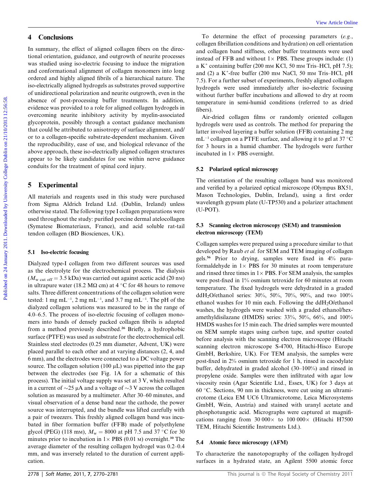# 4 Conclusions

In summary, the effect of aligned collagen fibers on the directional orientation, guidance, and outgrowth of neurite processes was studied using iso-electric focusing to induce the migration and conformational alignment of collagen monomers into long ordered and highly aligned fibrils of a hierarchical nature. The iso-electrically aligned hydrogels as substrates proved supportive of unidirectional polarization and neurite outgrowth, even in the absence of post-processing buffer treatments. In addition, evidence was provided to a role for aligned collagen hydrogels in overcoming neurite inhibitory activity by myelin-associated glycoprotein, possibly through a contact guidance mechanism that could be attributed to anisotropy of surface alignment, and/ or to a collagen-specific substrate-dependent mechanism. Given the reproducibility, ease of use, and biological relevance of the above approach, these iso-electrically aligned collagen structures appear to be likely candidates for use within nerve guidance conduits for the treatment of spinal cord injury. **Forming the summary and Conclusions**<br> **Forming the summary and the summary and the summary and the summary and the summary and the summary and the summary and the summary and the summary and the summary and the summary a** 

# 5 Experimental

All materials and reagents used in this study were purchased from Sigma Aldrich Ireland Ltd. (Dublin, Ireland) unless otherwise stated. The following type I collagen preparations were used throughout the study: purified porcine dermal atelocollagen (Symatese Biomateriaux, France), and acid soluble rat-tail tendon collagen (BD Biosciences, UK).

### 5.1 Iso-electric focusing

Dialyzed type-I collagen from two different sources was used as the electrolyte for the electrochemical process. The dialysis  $(M_{\text{w cut off}} = 3.5 \text{ kDa})$  was carried out against acetic acid (20 nm) in ultrapure water (18.2 M $\Omega$  cm) at 4 °C for 48 hours to remove salts. Three different concentrations of the collagen solution were tested: 1 mg mL<sup>-1</sup>, 2 mg mL<sup>-1</sup>, and 3.7 mg mL<sup>-1</sup>. The pH of the dialyzed collagen solutions was measured to be in the range of 4.0–6.5. The process of iso-electric focusing of collagen monomers into bands of densely packed collagen fibrils is adapted from a method previously described.<sup>26</sup> Briefly, a hydrophobic surface (PTFE) was used as substrate for the electrochemical cell. Stainless steel electrodes (0.25 mm diameter, Advent, UK) were placed parallel to each other and at varying distances (2, 4, and 6 mm), and the electrodes were connected to a DC voltage power source. The collagen solution  $(100 \mu L)$  was pipetted into the gap between the electrodes (see Fig. 1A for a schematic of this process). The initial voltage supply was set at 3 V, which resulted in a current of  $\sim$ 25 µA and a voltage of  $\sim$ 3 V across the collagen solution as measured by a multimeter. After 30–60 minutes, and visual observation of a dense band near the cathode, the power source was interrupted, and the bundle was lifted carefully with a pair of tweezers. This freshly aligned collagen band was incubated in fiber formation buffer (FFB) made of polyethylene glycol (PEG) (118 mm),  $M_w = 8000$  at pH 7.5 and 37 °C for 30 minutes prior to incubation in  $1 \times PBS$  (0.01 M) overnight.<sup>30</sup> The average diameter of the resulting collagen hydrogel was 0.2–0.4 mm, and was inversely related to the duration of current application.

To determine the effect of processing parameters  $(e.g.,)$ collagen fibrillation conditions and hydration) on cell orientation and collagen band stiffness, other buffer treatments were used instead of FFB and without  $1 \times$  PBS. These groups include: (1) a  $K^+$  containing buffer (200 mm KCl, 50 mm Tris–HCl, pH 7.5); and (2) a K<sup>+</sup>-free buffer (200 mm NaCl, 50 mm Tris-HCl, pH 7.5). For a further subset of experiments, freshly aligned collagen hydrogels were used immediately after iso-electric focusing without further buffer incubations and allowed to dry at room temperature in semi-humid conditions (referred to as dried fibers).

Air-dried collagen films or randomly oriented collagen hydrogels were used as controls. The method for preparing the latter involved layering a buffer solution (FFB) containing 2 mg  $mL^{-1}$  collagen on a PTFE surface, and allowing it to gel at 37 °C for 3 hours in a humid chamber. The hydrogels were further incubated in  $1 \times$  PBS overnight.

## 5.2 Polarized optical microscopy

The orientation of the resulting collagen band was monitored and verified by a polarized optical microscope (Olympus BX51, Mason Technologies, Dublin, Ireland), using a first order wavelength gypsum plate (U-TP530) and a polarizer attachment (U-POT).

# 5.3 Scanning electron microscopy (SEM) and transmission electron microscopy (TEM)

Collagen samples were prepared using a procedure similar to that developed by Raub et al. for SEM and TEM imaging of collagen gels.<sup>56</sup> Prior to drying, samples were fixed in 4% paraformaldehyde in  $1 \times$  PBS for 30 minutes at room temperature and rinsed three times in  $1 \times$  PBS. For SEM analysis, the samples were post-fixed in 1% osmium tetroxide for 60 minutes at room temperature. The fixed hydrogels were dehydrated in a graded ddH2O/ethanol series: 30%, 50%, 70%, 90%, and two 100% ethanol washes for 10 min each. Following the  $ddH_2O/ethanol$ washes, the hydrogels were washed with a graded ethanol/hexamethyldisilazane (HMDS) series: 33%, 50%, 66%, and 100% HMDS washes for 15 min each. The dried samples were mounted on SEM sample stages using carbon tape, and sputter coated before analysis with the scanning electron microscope (Hitachi scanning electron microscope S-4700, Hitachi-Hisco Europe GmbH, Berkshire, UK). For TEM analysis, the samples were post-fixed in 2% osmium tetroxide for 1 h, rinsed in cacodylate buffer, dehydrated in graded alcohol (30–100%) and rinsed in propylene oxide. Samples were then infiltrated with agar low viscosity resin (Agar Scientific Ltd., Essex, UK) for 3 days at 60 C. Sections, 90 nm in thickness, were cut using an ultramicrotome (Leica EM UC6 Ultramicrotome, Leica Microsystems GmbH, Wein, Austria) and stained with uranyl acetate and phosphotungstic acid. Micrographs were captured at magnifications ranging from  $30\,000\times$  to  $100\,000\times$  (Hitachi H7500 TEM, Hitachi Scientific Instruments Ltd.).

### 5.4 Atomic force microscopy (AFM)

To characterize the nanotopography of the collagen hydrogel surfaces in a hydrated state, an Agilent 5500 atomic force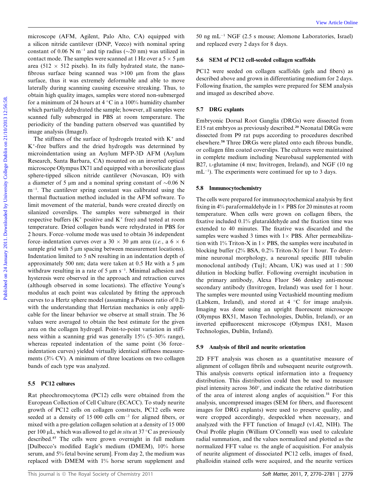microscope (AFM, Agilent, Palo Alto, CA) equipped with a silicon nitride cantilever (DNP, Veeco) with nominal spring constant of 0.06 N m<sup>-1</sup> and tip radius ( $\sim$ 20 nm) was utilized in contact mode. The samples were scanned at 1 Hz over a  $5 \times 5 \,\mathrm{\upmu m}$ area (512  $\times$  512 pixels). In its fully hydrated state, the nanofibrous surface being scanned was  $>100 \mu m$  from the glass surface, thus it was extremely deformable and able to move laterally during scanning causing excessive streaking. Thus, to obtain high quality images, samples were stored non-submerged for a minimum of 24 hours at  $4^{\circ}$ C in a 100% humidity chamber which partially dehydrated the sample; however, all samples were scanned fully submerged in PBS at room temperature. The periodicity of the banding pattern observed was quantified by image analysis (ImageJ).

The stiffness of the surface of hydrogels treated with  $K^+$  and K+ -free buffers and the dried hydrogels was determined by microindentation using an Asylum MFP-3D AFM (Asylum Research, Santa Barbara, CA) mounted on an inverted optical microscope Olympus IX71 and equipped with a borosilicate glass sphere-tipped silicon nitride cantilever (Novascan, IO) with a diameter of 5  $\mu$ m and a nominal spring constant of  $\sim$ 0.06 N m<sup>-1</sup>. The cantilever spring constant was calibrated using the thermal fluctuation method included in the AFM software. To limit movement of the material, bands were created directly on silanized coverslips. The samples were submerged in their respective buffers  $(K^+)$  positive and  $K^+$  free) and tested at room temperature. Dried collagen bands were rehydrated in PBS for 2 hours. Force–volume mode was used to obtain 36 independent force–indentation curves over a 30  $\times$  30 µm area (*i.e.*, a 6  $\times$  6 sample grid with 5  $\mu$ m spacing between measurement locations). Indentation limited to 5 nN resulting in an indentation depth of approximately 500 nm; data were taken at 0.5 Hz with a 5  $\mu$ m withdraw resulting in a rate of 5  $\mu$ m s<sup>-1</sup>. Minimal adhesion and hysteresis were observed in the approach and retraction curves (although observed in some locations). The effective Young's modulus at each point was calculated by fitting the approach curves to a Hertz sphere model (assuming a Poisson ratio of 0.2) with the understanding that Hertzian mechanics is only applicable for the linear behavior we observe at small strain. The 36 values were averaged to obtain the best estimate for the given area on the collagen hydrogel. Point-to-point variation in stiffness within a scanning grid was generally 15% (5–30% range), whereas repeated indentation of the same point (36 force– indentation curves) yielded virtually identical stiffness measurements (3% CV). A minimum of three locations on two collagen bands of each type was analyzed. matercone (AFM, Agilent, Palo Albox CA) contigred with 50 ap.nl.<sup>21</sup> NGF (2.5 s monoc Albomco Laboratories, Irrad in the collection of the Symbol Albomco Collection (Fig. 10.11 and the collection of the Symbol Albomco Coll

# 5.5 PC12 cultures

Rat pheochromocytoma (PC12) cells were obtained from the European Collection of Cell Culture (ECACC). To study neurite growth of PC12 cells on collagen constructs, PC12 cells were seeded at a density of 15 000 cells  $cm^{-2}$  for aligned fibers, or mixed with a pre-gelation collagen solution at a density of 15 000 per 100  $\mu$ L, which was allowed to gel *in situ* at 37 °C as previously described.<sup>57</sup> The cells were grown overnight in full medium [Dulbecco's modified Eagle's medium (DMEM), 10% horse serum, and 5% fetal bovine serum]. From day 2, the medium was replaced with DMEM with 1% horse serum supplement and

50 ng m $L^{-1}$  NGF (2.5 s mouse; Alomone Laboratories, Israel) and replaced every 2 days for 8 days.

## 5.6 SEM of PC12 cell-seeded collagen scaffolds

PC12 were seeded on collagen scaffolds (gels and fibers) as described above and grown in differentiating medium for 2 days. Following fixation, the samples were prepared for SEM analysis and imaged as described above.

#### 5.7 DRG explants

Embryonic Dorsal Root Ganglia (DRGs) were dissected from E15 rat embryos as previously described.<sup>20</sup> Neonatal DRGs were dissected from P9 rat pups according to procedures described elsewhere.<sup>58</sup> Three DRGs were plated onto each fibrous bundle, or collagen film coated coverslips. The cultures were maintained in complete medium including Neurobasal supplemented with B27, L-glutamine (4 mm; Invitrogen, Ireland), and NGF (10 ng  $mL^{-1}$ ). The experiments were continued for up to 3 days.

#### 5.8 Immunocytochemistry

The cells were prepared for immunocytochemical analysis by first fixing in 4% paraformaldehyde in  $1 \times PBS$  for 20 minutes at room temperature. When cells were grown on collagen fibers, the fixative included 0.1% glutaraldehyde and the fixation time was extended to 40 minutes. The fixative was discarded and the samples were washed 3 times with  $1 \times$  PBS. After permeabilization with 1% Triton-X in  $1 \times$  PBS, the samples were incubated in blocking buffer (2% BSA, 0.2% Triton-X) for 1 hour. To determine neuronal morphology, a neuronal specific bIII tubulin monoclonal antibody (Tuj1; Abcam, UK) was used at 1 : 500 dilution in blocking buffer. Following overnight incubation in the primary antibody, Alexa Fluor 546 donkey anti-mouse secondary antibody (Invitrogen, Ireland) was used for 1 hour. The samples were mounted using Vectashield mounting medium (Labkem, Ireland), and stored at  $4 \degree C$  for image analysis. Imaging was done using an upright fluorescent microscope (Olympus BX51, Mason Technologies, Dublin, Ireland), or an inverted epifluorescent microscope (Olympus IX81, Mason Technologies, Dublin, Ireland).

#### 5.9 Analysis of fibril and neurite orientation

2D FFT analysis was chosen as a quantitative measure of alignment of collagen fibrils and subsequent neurite outgrowth. This analysis converts optical information into a frequency distribution. This distribution could then be used to measure pixel intensity across  $360^\circ$ , and indicate the relative distribution of the area of interest along angles of acquisition.<sup>31</sup> For this analysis, uncompressed images (SEM for fibers, and fluorescent images for DRG explants) were used to preserve quality, and were cropped accordingly, despeckled when necessary, and analyzed with the FFT function of ImageJ (v1.42, NIH). The Oval Profile plugin (William O'Connell) was used to calculate radial summation, and the values normalized and plotted as the normalized FFT value vs. the angle of acquisition. For analysis of neurite alignment of dissociated PC12 cells, images of fixed, phalloidin stained cells were acquired, and the neurite vertices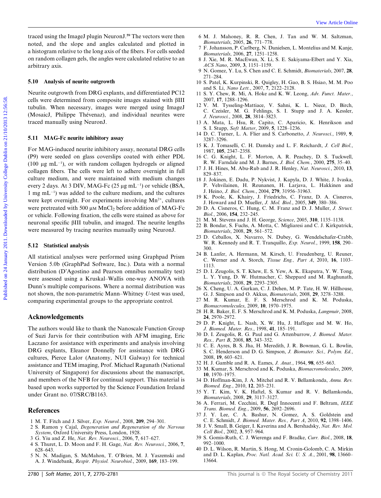traced using the ImageJ plugin NeuronJ.<sup>59</sup> The vectors were then noted, and the slope and angles calculated and plotted in a histogram relative to the long axis of the fibers. For cells seeded on random collagen gels, the angles were calculated relative to an arbitrary axis.

#### 5.10 Analysis of neurite outgrowth

Neurite outgrowth from DRG explants, and differentiated PC12 cells were determined from composite images stained with bIII tubulin. When necessary, images were merged using ImageJ (MosaicJ, Philippe Thévenaz), and individual neurites were traced manually using NeuronJ.

#### 5.11 MAG-Fc neurite inhibitory assay

For MAG-induced neurite inhibitory assay, neonatal DRG cells (P9) were seeded on glass coverslips coated with either PDL (100  $\mu$ g mL<sup>-1</sup>), or with random collagen hydrogels or aligned collagen fibers. The cells were left to adhere overnight in full culture medium, and were maintained with medium changes every 2 days. At 3 DIV, MAG-Fc  $(25 \mu g \text{ mL}^{-1})$  or vehicle (BSA,  $1 \text{ mg } \text{mL}^{-1}$ ) was added to the culture medium, and the cultures were kept overnight. For experiments involving  $Mn^{2+}$ , cultures were pretreated with 500  $\mu$ M MnCl<sub>2</sub> before addition of MAG-Fc or vehicle. Following fixation, the cells were stained as above for neuronal specific bIII tubulin, and imaged. The neurite lengths were measured by tracing neurites manually using NeuronJ. The college publish Neurol (PThe vectors were then  $\sim$  MA January R. R. Chen, J. The anti-R. Neuron and the share and the share and the best college Dublin on 2012. The state of the state of the state of the state of the

# 5.12 Statistical analysis

All statistical analyses were performed using Graphpad Prism Version 5.0b (GraphPad Software, Inc.). Data with a normal distribution (D'Agostino and Pearson omnibus normality test) were assessed using a Kruskal–Wallis one-way ANOVA with Dunn's multiple comparisons. Where a normal distribution was not shown, the non-parametric Mann–Whitney U-test was used, comparing experimental groups to the appropriate control.

### Acknowledgements

The authors would like to thank the Nanoscale Function Group of Suzi Jarvis for their contribution with AFM imaging, Eric Laczano for assistance with experiments and analysis involving DRG explants, Eleanor Donnelly for assistance with DRG cultures, Pierce Lalor (Anatomy, NUI Galway) for technical assistance and TEM imaging, Prof. Michael Ragunath (National University of Singapore) for discussions about the manuscript, and members of the NFB for continual support. This material is based upon works supported by the Science Foundation Ireland under Grant no. 07/SRC/B1163.

# References

- 1 M. T. Fitch and J. Silver, Exp. Neurol., 2008, 209, 294–301.
- 2 S. Ramon y Cajal, Degeneration and Regeneration of the Nervous System, Oxford University Press, London, 1928.
- 3 G. Yiu and Z. He, Nat. Rev. Neurosci., 2006, 7, 617–627.
- 4 S. Thuret, L. D. Moon and F. H. Gage, Nat. Rev. Neurosci., 2006, 7, 628–643.
- 5 N. N. Madigan, S. McMahon, T. O'Brien, M. J. Yaszemski and A. J. Windebank, Respir. Physiol. Neurobiol., 2009, 169, 183–199.
- 6 M. J. Mahoney, R. R. Chen, J. Tan and W. M. Saltzman, Biomaterials, 2005, 26, 771–778.
- 7 F. Johansson, P. Carlberg, N. Danielsen, L. Montelius and M. Kanje, Biomaterials, 2006, 27, 1251–1258.
- 8 J. Xie, M. R. MacEwan, X. Li, S. E. Sakiyama-Elbert and Y. Xia, ACS Nano, 2009, 3, 1151–1159.
- 9 N. Gomez, Y. Lu, S. Chen and C. E. Schmidt, Biomaterials, 2007, 28, 271–284.
- 10 S. Patel, K. Kurpinski, R. Quigley, H. Gao, B. S. Hsiao, M. M. Poo and S. Li, Nano Lett., 2007, 7, 2122–2128.
- 11 S. Y. Chew, R. Mi, A. Hoke and K. W. Leong, Adv. Funct. Mater., 2007, 17, 1288–1296.
- 12 V. M. Tysseling-Mattiace, V. Sahni, K. L. Niece, D. Birch, C. Czeisler, M. G. Fehlings, S. I. Stupp and J. A. Kessler, J. Neurosci., 2008, 28, 3814–3823.
- 13 A. Mata, L. Hsu, R. Capito, C. Aparicio, K. Henrikson and S. I. Stupp, Soft Matter, 2009, 5, 1228–1236.
- 14 D. C. Turner, L. A. Flier and S. Carbonetto, J. Neurosci., 1989, 9, 3287–3296.
- 15 K. J. Tomaselli, C. H. Damsky and L. F. Reichardt, J. Cell Biol., 1987, 105, 2347–2358.
- 16 C. G. Knight, L. F. Morton, A. R. Peachey, D. S. Tuckwell, R. W. Farndale and M. J. Barnes, J. Biol. Chem., 2000, 275, 35–40.
- 17 J. H. Hines, M. Abu-Rub and J. R. Henley, Nat. Neurosci., 2010, 13, 829–837.
- 18 J. Jokinen, E. Dadu, P. Nykvist, J. Kapyla, D. J. White, J. Ivaska, P. Vehvilainen, H. Reunanen, H. Larjava, L. Hakkinen and J. Heino, J. Biol. Chem., 2004, 279, 31956–31963.
- 19 K. Poole, K. Khairy, J. Friedrichs, C. Franz, D. A. Cisneros, J. Howard and D. Mueller, J. Mol. Biol., 2005, 349, 380–386.
- 20 D. A. Cisneros, C. Hung, C. M. Franz and D. J. Muller, J. Struct. Biol., 2006, 154, 232–245.
- 21 M. M. Stevens and J. H. George, Science, 2005, 310, 1135–1138.
- 22 B. Bondar, S. Fuchs, A. Motta, C. Migliaresi and C. J. Kirkpatrick, Biomaterials, 2008, 29, 561–572.
- 23 D. Ceballos, X. Navarro, N. Dubey, G. Wendelschafer-Crabb, W. R. Kennedy and R. T. Tranquillo, Exp. Neurol., 1999, 158, 290– 300.
- 24 B. Lanfer, A. Hermann, M. Kirsch, U. Freudenberg, U. Reuner, C. Werner and A. Storch, Tissue Eng., Part A, 2010, 16, 1103– 1113.
- 25 D. I. Zeugolis, S. T. Khew, E. S. Yew, A. K. Ekaputra, Y. W. Tong, L. Y. Yung, D. W. Hutmacher, C. Sheppard and M. Raghunath, Biomaterials, 2008, 29, 2293–2305.
- 26 X. Cheng, U. A. Gurkan, C. J. Dehen, M. P. Tate, H. W. Hillhouse, G. J. Simpson and O. Akkus, Biomaterials, 2008, 29, 3278–3288.
- 27 M. R. Kumar, E. F. S. Merschrod and K. M. Poduska, Biomacromolecules, 2009, 10, 1970–1975.
- 28 H. R. Baker, E. F. S. Merschrod and K. M. Poduska, Langmuir, 2008, 24, 2970–2972.
- 29 D. P. Knight, L. Nash, X. W. Hu, J. Haffegee and M. W. Ho, J. Biomed. Mater. Res., 1998, 41, 185–191.
- 30 D. I. Zeugolis, R. G. Paul and G. Attenburrow, J. Biomed. Mater. Res., Part B, 2008, 85, 343–352.
- 31 C. E. Ayres, B. S. Jha, H. Meredith, J. R. Bowman, G. L. Bowlin, S. C. Henderson and D. G. Simpson, J. Biomater. Sci., Polym. Ed., 2008, 19, 603–621.
- 32 H. J. Gamble and R. A. Eames, J. Anat., 1964, 98, 655–663.
- 33 M. Kumar, S. Merschrod and K. Poduska, Biomacromolecules, 2009, 10, 1970–1975.
- 34 D. Hoffman-Kim, J. A. Mitchel and R. V. Bellamkonda, Annu. Rev. Biomed. Eng., 2010, 12, 203–231.
- 35 Y. T. Kim, V. K. Haftel, S. Kumar and R. V. Bellamkonda, Biomaterials, 2008, 29, 3117–3127.
- 36 A. Ferrari, M. Cecchini, R. Degl Innocenti and F. Beltram, IEEE Trans. Biomed. Eng., 2009, 56, 2692–2696.
- 37 J. Y. Lee, C. A. Bashur, N. Gomez, A. S. Goldstein and C. E. Schmidt, J. Biomed. Mater. Res., Part A, 2010, 92, 1398–1406.
- 38 J. V. Small, B. Geiger, I. Kaverina and A. Bershadsky, Nat. Rev. Mol. Cell Biol., 2002, 3, 957–964.
- 39 S. Gomis-Ruth, C. J. Wierenga and F. Bradke, Curr. Biol., 2008, 18, 992–1000.
- 40 D. L. Wilson, R. Martin, S. Hong, M. Cronin-Golomb, C. A. Mirkin and D. L. Kaplan, Proc. Natl. Acad. Sci. U. S. A., 2001, 98, 13660– 13664.